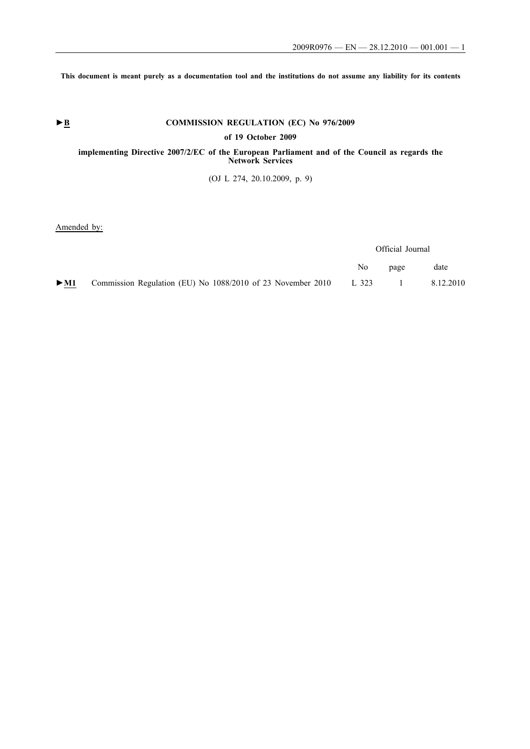**This document is meant purely as a documentation tool and the institutions do not assume any liability for its contents**

# ► **B** COMMISSION REGULATION (EC) No 976/2009

**of 19 October 2009**

# **implementing Directive 2007/2/EC of the European Parliament and of the Council as regards the Network Services**

(OJ L 274, 20.10.2009, p. 9)

Amended by:

|        |                                                                   | Official Journal |                |           |
|--------|-------------------------------------------------------------------|------------------|----------------|-----------|
|        |                                                                   | No.              | page           | date      |
| $>$ M1 | Commission Regulation (EU) No 1088/2010 of 23 November 2010 L 323 |                  | $\blacksquare$ | 8.12.2010 |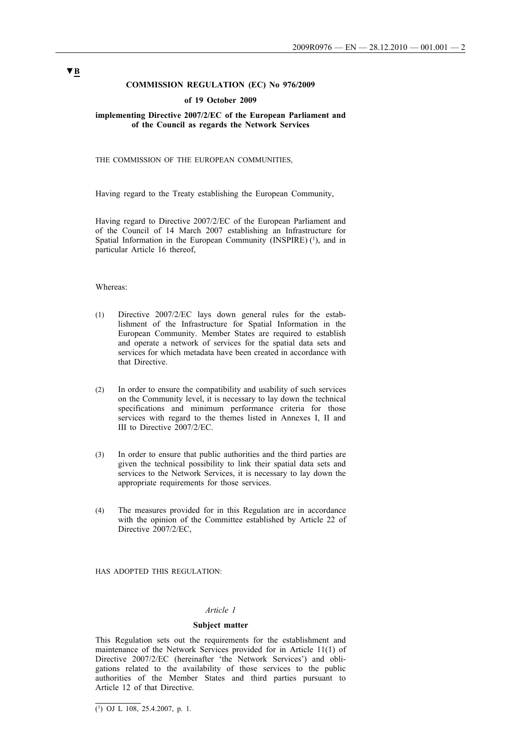# **COMMISSION REGULATION (EC) No 976/2009**

#### **of 19 October 2009**

## **implementing Directive 2007/2/EC of the European Parliament and of the Council as regards the Network Services**

THE COMMISSION OF THE EUROPEAN COMMUNITIES,

Having regard to the Treaty establishing the European Community,

Having regard to Directive 2007/2/EC of the European Parliament and of the Council of 14 March 2007 establishing an Infrastructure for Spatial Information in the European Community (INSPIRE)  $(1)$ , and in particular Article 16 thereof,

# Whereas:

- (1) Directive 2007/2/EC lays down general rules for the establishment of the Infrastructure for Spatial Information in the European Community. Member States are required to establish and operate a network of services for the spatial data sets and services for which metadata have been created in accordance with that Directive.
- (2) In order to ensure the compatibility and usability of such services on the Community level, it is necessary to lay down the technical specifications and minimum performance criteria for those services with regard to the themes listed in Annexes I, II and III to Directive 2007/2/EC.
- (3) In order to ensure that public authorities and the third parties are given the technical possibility to link their spatial data sets and services to the Network Services, it is necessary to lay down the appropriate requirements for those services.
- (4) The measures provided for in this Regulation are in accordance with the opinion of the Committee established by Article 22 of Directive 2007/2/EC,

HAS ADOPTED THIS REGULATION:

# *Article 1*

#### **Subject matter**

This Regulation sets out the requirements for the establishment and maintenance of the Network Services provided for in Article 11(1) of Directive 2007/2/EC (hereinafter 'the Network Services') and obligations related to the availability of those services to the public authorities of the Member States and third parties pursuant to Article 12 of that Directive.

 $\overline{(^1)}$  OJ L 108, 25.4.2007, p. 1.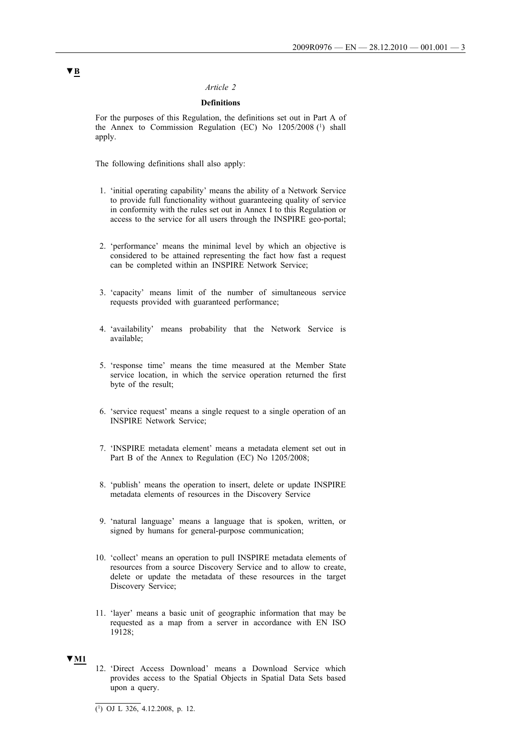## *Article 2*

# **Definitions**

For the purposes of this Regulation, the definitions set out in Part A of the Annex to Commission Regulation (EC) No 1205/2008 (1) shall apply.

The following definitions shall also apply:

- 1. 'initial operating capability' means the ability of a Network Service to provide full functionality without guaranteeing quality of service in conformity with the rules set out in Annex I to this Regulation or access to the service for all users through the INSPIRE geo-portal;
- 2. 'performance' means the minimal level by which an objective is considered to be attained representing the fact how fast a request can be completed within an INSPIRE Network Service;
- 3. 'capacity' means limit of the number of simultaneous service requests provided with guaranteed performance;
- 4. 'availability' means probability that the Network Service is available;
- 5. 'response time' means the time measured at the Member State service location, in which the service operation returned the first byte of the result;
- 6. 'service request' means a single request to a single operation of an INSPIRE Network Service;
- 7. 'INSPIRE metadata element' means a metadata element set out in Part B of the Annex to Regulation (EC) No 1205/2008;
- 8. 'publish' means the operation to insert, delete or update INSPIRE metadata elements of resources in the Discovery Service
- 9. 'natural language' means a language that is spoken, written, or signed by humans for general-purpose communication;
- 10. 'collect' means an operation to pull INSPIRE metadata elements of resources from a source Discovery Service and to allow to create, delete or update the metadata of these resources in the target Discovery Service;
- 11. 'layer' means a basic unit of geographic information that may be requested as a map from a server in accordance with EN ISO 19128;

# **▼M1**

12. 'Direct Access Download' means a Download Service which provides access to the Spatial Objects in Spatial Data Sets based upon a query.

 $\overline{(^1)}$  OJ L 326, 4.12.2008, p. 12.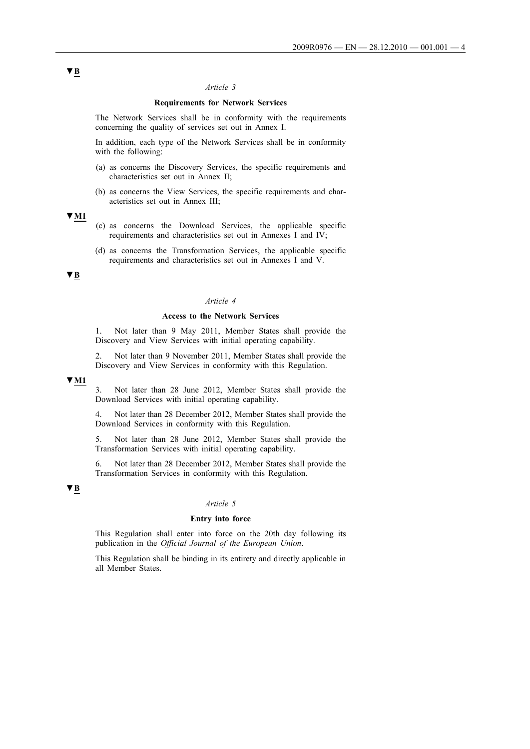## *Article 3*

## **Requirements for Network Services**

The Network Services shall be in conformity with the requirements concerning the quality of services set out in Annex I.

In addition, each type of the Network Services shall be in conformity with the following:

- (a) as concerns the Discovery Services, the specific requirements and characteristics set out in Annex II;
- (b) as concerns the View Services, the specific requirements and characteristics set out in Annex III;

#### **▼M1**

- (c) as concerns the Download Services, the applicable specific requirements and characteristics set out in Annexes I and IV;
- (d) as concerns the Transformation Services, the applicable specific requirements and characteristics set out in Annexes I and V.

# **▼B**

# *Article 4*

## **Access to the Network Services**

1. Not later than 9 May 2011, Member States shall provide the Discovery and View Services with initial operating capability.

2. Not later than 9 November 2011, Member States shall provide the Discovery and View Services in conformity with this Regulation.

# **▼M1**

3. Not later than 28 June 2012, Member States shall provide the Download Services with initial operating capability.

4. Not later than 28 December 2012, Member States shall provide the Download Services in conformity with this Regulation.

5. Not later than 28 June 2012, Member States shall provide the Transformation Services with initial operating capability.

6. Not later than 28 December 2012, Member States shall provide the Transformation Services in conformity with this Regulation.

# **▼B**

## *Article 5*

## **Entry into force**

This Regulation shall enter into force on the 20th day following its publication in the *Official Journal of the European Union*.

This Regulation shall be binding in its entirety and directly applicable in all Member States.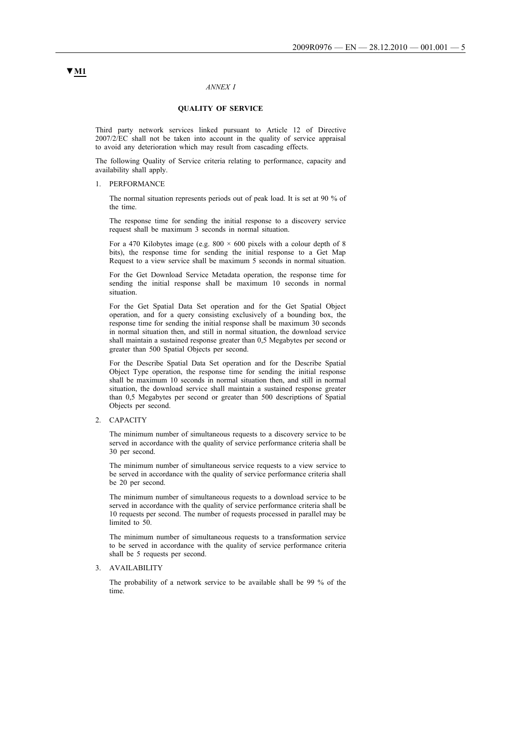#### *ANNEX I*

#### **QUALITY OF SERVICE**

Third party network services linked pursuant to Article 12 of Directive 2007/2/EC shall not be taken into account in the quality of service appraisal to avoid any deterioration which may result from cascading effects.

The following Quality of Service criteria relating to performance, capacity and availability shall apply.

1. PERFORMANCE

The normal situation represents periods out of peak load. It is set at 90 % of the time.

The response time for sending the initial response to a discovery service request shall be maximum 3 seconds in normal situation.

For a 470 Kilobytes image (e.g.  $800 \times 600$  pixels with a colour depth of 8 bits), the response time for sending the initial response to a Get Map Request to a view service shall be maximum 5 seconds in normal situation.

For the Get Download Service Metadata operation, the response time for sending the initial response shall be maximum 10 seconds in normal situation.

For the Get Spatial Data Set operation and for the Get Spatial Object operation, and for a query consisting exclusively of a bounding box, the response time for sending the initial response shall be maximum 30 seconds in normal situation then, and still in normal situation, the download service shall maintain a sustained response greater than 0,5 Megabytes per second or greater than 500 Spatial Objects per second.

For the Describe Spatial Data Set operation and for the Describe Spatial Object Type operation, the response time for sending the initial response shall be maximum 10 seconds in normal situation then, and still in normal situation, the download service shall maintain a sustained response greater than 0,5 Megabytes per second or greater than 500 descriptions of Spatial Objects per second.

#### 2. CAPACITY

The minimum number of simultaneous requests to a discovery service to be served in accordance with the quality of service performance criteria shall be 30 per second.

The minimum number of simultaneous service requests to a view service to be served in accordance with the quality of service performance criteria shall be 20 per second.

The minimum number of simultaneous requests to a download service to be served in accordance with the quality of service performance criteria shall be 10 requests per second. The number of requests processed in parallel may be limited to 50.

The minimum number of simultaneous requests to a transformation service to be served in accordance with the quality of service performance criteria shall be 5 requests per second.

3. AVAILABILITY

The probability of a network service to be available shall be 99 % of the time.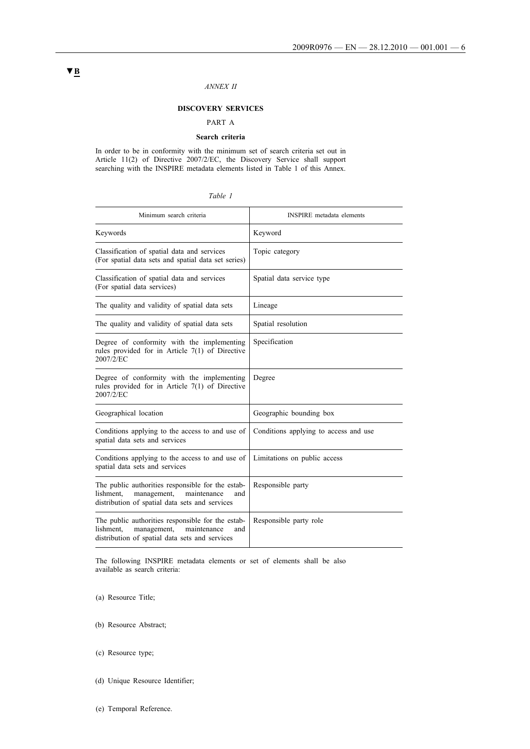# *ANNEX II*

# **DISCOVERY SERVICES**

#### PART A

#### **Search criteria**

In order to be in conformity with the minimum set of search criteria set out in Article 11(2) of Directive 2007/2/EC, the Discovery Service shall support searching with the INSPIRE metadata elements listed in Table 1 of this Annex.

| ani |  |
|-----|--|
|-----|--|

| Minimum search criteria                                                                                                                               | <b>INSPIRE</b> metadata elements      |
|-------------------------------------------------------------------------------------------------------------------------------------------------------|---------------------------------------|
| Keywords                                                                                                                                              | Keyword                               |
| Classification of spatial data and services<br>(For spatial data sets and spatial data set series)                                                    | Topic category                        |
| Classification of spatial data and services<br>(For spatial data services)                                                                            | Spatial data service type             |
| The quality and validity of spatial data sets                                                                                                         | Lineage                               |
| The quality and validity of spatial data sets                                                                                                         | Spatial resolution                    |
| Degree of conformity with the implementing<br>rules provided for in Article $7(1)$ of Directive<br>2007/2/EC                                          | Specification                         |
| Degree of conformity with the implementing<br>rules provided for in Article $7(1)$ of Directive<br>2007/2/EC                                          | Degree                                |
| Geographical location                                                                                                                                 | Geographic bounding box               |
| Conditions applying to the access to and use of<br>spatial data sets and services                                                                     | Conditions applying to access and use |
| Conditions applying to the access to and use of<br>spatial data sets and services                                                                     | Limitations on public access          |
| The public authorities responsible for the estab-<br>lishment,<br>management,<br>maintenance<br>and<br>distribution of spatial data sets and services | Responsible party                     |
| The public authorities responsible for the estab-<br>lishment,<br>management,<br>maintenance<br>and<br>distribution of spatial data sets and services | Responsible party role                |

The following INSPIRE metadata elements or set of elements shall be also available as search criteria:

(a) Resource Title;

- (b) Resource Abstract;
- (c) Resource type;
- (d) Unique Resource Identifier;
- (e) Temporal Reference.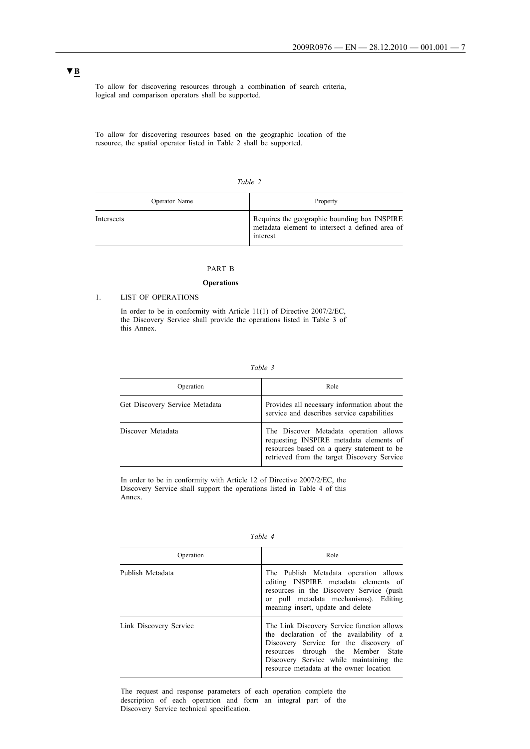To allow for discovering resources through a combination of search criteria, logical and comparison operators shall be supported.

To allow for discovering resources based on the geographic location of the resource, the spatial operator listed in Table 2 shall be supported.

| ani |  |
|-----|--|
|     |  |

| Operator Name | Property                                                                                                    |
|---------------|-------------------------------------------------------------------------------------------------------------|
| Intersects    | Requires the geographic bounding box INSPIRE<br>metadata element to intersect a defined area of<br>interest |

# PART B

#### **Operations**

#### 1. LIST OF OPERATIONS

In order to be in conformity with Article 11(1) of Directive 2007/2/EC, the Discovery Service shall provide the operations listed in Table 3 of this Annex.

| Table |  |
|-------|--|
|       |  |

| Operation                      | Role                                                                                                                                                                           |
|--------------------------------|--------------------------------------------------------------------------------------------------------------------------------------------------------------------------------|
| Get Discovery Service Metadata | Provides all necessary information about the<br>service and describes service capabilities                                                                                     |
| Discover Metadata              | The Discover Metadata operation allows<br>requesting INSPIRE metadata elements of<br>resources based on a query statement to be<br>retrieved from the target Discovery Service |

In order to be in conformity with Article 12 of Directive 2007/2/EC, the Discovery Service shall support the operations listed in Table 4 of this Annex.

| anı |
|-----|
|-----|

| Operation              | Role                                                                                                                                                                                                                                                         |
|------------------------|--------------------------------------------------------------------------------------------------------------------------------------------------------------------------------------------------------------------------------------------------------------|
| Publish Metadata       | The Publish Metadata operation allows<br>editing INSPIRE metadata elements of<br>resources in the Discovery Service (push)<br>or pull metadata mechanisms). Editing<br>meaning insert, update and delete                                                     |
| Link Discovery Service | The Link Discovery Service function allows<br>the declaration of the availability of a<br>Discovery Service for the discovery of<br>resources through the Member State<br>Discovery Service while maintaining the<br>resource metadata at the owner location |

The request and response parameters of each operation complete the description of each operation and form an integral part of the Discovery Service technical specification.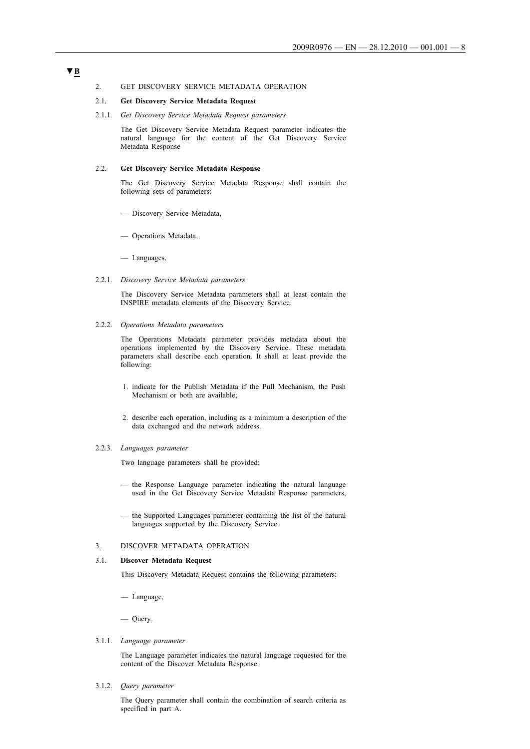## 2. GET DISCOVERY SERVICE METADATA OPERATION

#### 2.1. **Get Discovery Service Metadata Request**

2.1.1. *Get Discovery Service Metadata Request parameters*

The Get Discovery Service Metadata Request parameter indicates the natural language for the content of the Get Discovery Service Metadata Response

#### 2.2. **Get Discovery Service Metadata Response**

The Get Discovery Service Metadata Response shall contain the following sets of parameters:

- Discovery Service Metadata,
- Operations Metadata,

— Languages.

2.2.1. *Discovery Service Metadata parameters*

The Discovery Service Metadata parameters shall at least contain the INSPIRE metadata elements of the Discovery Service.

2.2.2. *Operations Metadata parameters*

The Operations Metadata parameter provides metadata about the operations implemented by the Discovery Service. These metadata parameters shall describe each operation. It shall at least provide the following:

- 1. indicate for the Publish Metadata if the Pull Mechanism, the Push Mechanism or both are available;
- 2. describe each operation, including as a minimum a description of the data exchanged and the network address.

#### 2.2.3. *Languages parameter*

Two language parameters shall be provided:

- the Response Language parameter indicating the natural language used in the Get Discovery Service Metadata Response parameters,
- the Supported Languages parameter containing the list of the natural languages supported by the Discovery Service.

#### 3. DISCOVER METADATA OPERATION

## 3.1. **Discover Metadata Request**

This Discovery Metadata Request contains the following parameters:

— Language,

— Query.

3.1.1. *Language parameter*

The Language parameter indicates the natural language requested for the content of the Discover Metadata Response.

3.1.2. *Query parameter*

The Query parameter shall contain the combination of search criteria as specified in part A.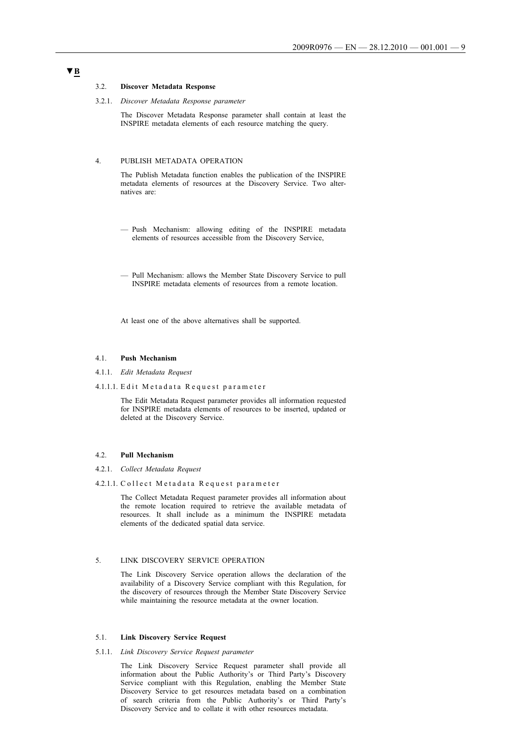#### 3.2. **Discover Metadata Response**

3.2.1. *Discover Metadata Response parameter*

The Discover Metadata Response parameter shall contain at least the INSPIRE metadata elements of each resource matching the query.

## 4. PUBLISH METADATA OPERATION

The Publish Metadata function enables the publication of the INSPIRE metadata elements of resources at the Discovery Service. Two alternatives are:

- Push Mechanism: allowing editing of the INSPIRE metadata elements of resources accessible from the Discovery Service,
- Pull Mechanism: allows the Member State Discovery Service to pull INSPIRE metadata elements of resources from a remote location.

At least one of the above alternatives shall be supported.

#### 4.1. **Push Mechanism**

- 4.1.1. *Edit Metadata Request*
- 4.1.1.1. Edit Metadata Request parameter

The Edit Metadata Request parameter provides all information requested for INSPIRE metadata elements of resources to be inserted, updated or deleted at the Discovery Service.

#### 4.2. **Pull Mechanism**

- 4.2.1. *Collect Metadata Request*
- 4.2.1.1. Collect Metadata Request parameter

The Collect Metadata Request parameter provides all information about the remote location required to retrieve the available metadata of resources. It shall include as a minimum the INSPIRE metadata elements of the dedicated spatial data service.

### 5. LINK DISCOVERY SERVICE OPERATION

The Link Discovery Service operation allows the declaration of the availability of a Discovery Service compliant with this Regulation, for the discovery of resources through the Member State Discovery Service while maintaining the resource metadata at the owner location.

## 5.1. **Link Discovery Service Request**

5.1.1. *Link Discovery Service Request parameter*

The Link Discovery Service Request parameter shall provide all information about the Public Authority's or Third Party's Discovery Service compliant with this Regulation, enabling the Member State Discovery Service to get resources metadata based on a combination of search criteria from the Public Authority's or Third Party's Discovery Service and to collate it with other resources metadata.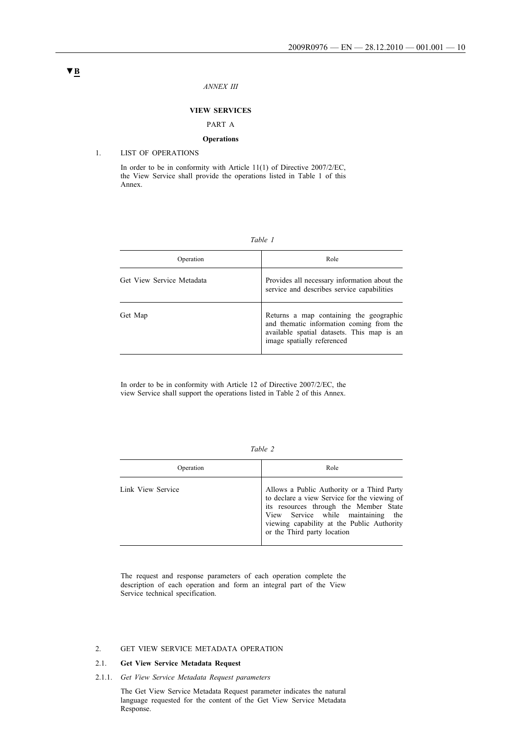#### *ANNEX III*

#### **VIEW SERVICES**

# PART A

## **Operations**

# 1. LIST OF OPERATIONS

In order to be in conformity with Article 11(1) of Directive 2007/2/EC, the View Service shall provide the operations listed in Table 1 of this Annex.

#### *Table 1*

| Operation                 | Role                                                                                                                                                            |
|---------------------------|-----------------------------------------------------------------------------------------------------------------------------------------------------------------|
| Get View Service Metadata | Provides all necessary information about the<br>service and describes service capabilities                                                                      |
| Get Map                   | Returns a map containing the geographic<br>and thematic information coming from the<br>available spatial datasets. This map is an<br>image spatially referenced |

In order to be in conformity with Article 12 of Directive 2007/2/EC, the view Service shall support the operations listed in Table 2 of this Annex.

| able |
|------|
|------|

| Operation         | Role                                                                                                                                                                                                                                                    |
|-------------------|---------------------------------------------------------------------------------------------------------------------------------------------------------------------------------------------------------------------------------------------------------|
| Link View Service | Allows a Public Authority or a Third Party<br>to declare a view Service for the viewing of<br>its resources through the Member State<br>View Service while maintaining the<br>viewing capability at the Public Authority<br>or the Third party location |

The request and response parameters of each operation complete the description of each operation and form an integral part of the View Service technical specification.

## 2. GET VIEW SERVICE METADATA OPERATION

# 2.1. **Get View Service Metadata Request**

2.1.1. *Get View Service Metadata Request parameters*

The Get View Service Metadata Request parameter indicates the natural language requested for the content of the Get View Service Metadata Response.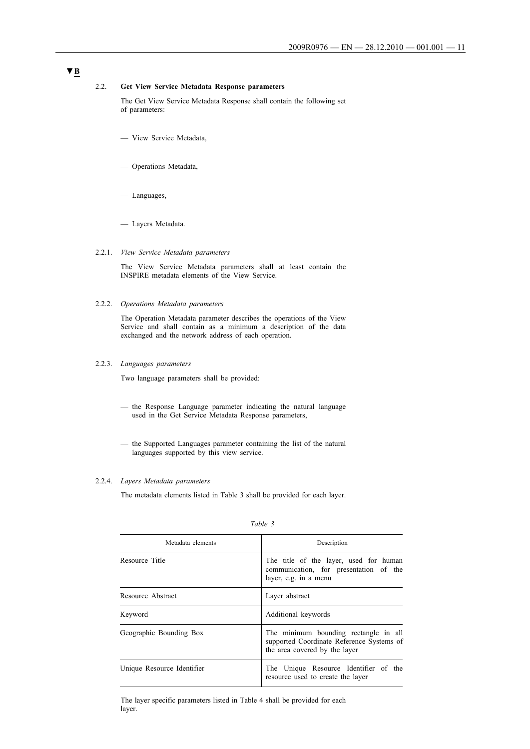## 2.2. **Get View Service Metadata Response parameters**

The Get View Service Metadata Response shall contain the following set of parameters:

- View Service Metadata,
- Operations Metadata,
- Languages,
- Layers Metadata.

#### 2.2.1. *View Service Metadata parameters*

The View Service Metadata parameters shall at least contain the INSPIRE metadata elements of the View Service.

# 2.2.2. *Operations Metadata parameters*

The Operation Metadata parameter describes the operations of the View Service and shall contain as a minimum a description of the data exchanged and the network address of each operation.

# 2.2.3. *Languages parameters*

Two language parameters shall be provided:

- the Response Language parameter indicating the natural language used in the Get Service Metadata Response parameters,
- the Supported Languages parameter containing the list of the natural languages supported by this view service.

#### 2.2.4. *Layers Metadata parameters*

The metadata elements listed in Table 3 shall be provided for each layer.

| Metadata elements          | Description                                                                                                         |
|----------------------------|---------------------------------------------------------------------------------------------------------------------|
| Resource Title             | The title of the layer, used for human<br>communication, for presentation of the<br>layer, e.g. in a menu           |
| Resource Abstract          | Layer abstract                                                                                                      |
| Kevword                    | Additional keywords                                                                                                 |
| Geographic Bounding Box    | The minimum bounding rectangle in all<br>supported Coordinate Reference Systems of<br>the area covered by the layer |
| Unique Resource Identifier | The Unique Resource Identifier of the<br>resource used to create the layer                                          |

#### *Table 3*

The layer specific parameters listed in Table 4 shall be provided for each layer.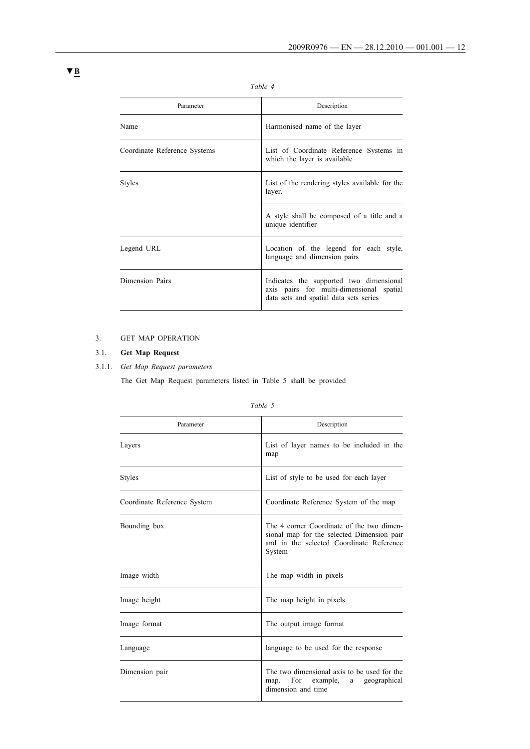| Parameter                    | Description                                                                                                                   |
|------------------------------|-------------------------------------------------------------------------------------------------------------------------------|
| Name                         | Harmonised name of the layer                                                                                                  |
| Coordinate Reference Systems | List of Coordinate Reference Systems in<br>which the layer is available                                                       |
| Styles                       | List of the rendering styles available for the<br>layer.                                                                      |
|                              | A style shall be composed of a title and a<br>unique identifier                                                               |
| Legend URL                   | Location of the legend for each style,<br>language and dimension pairs                                                        |
| Dimension Pairs              | Indicates the supported two dimensional<br>axis pairs for multi-dimensional spatial<br>data sets and spatial data sets series |

# *Table 4*

# 3. GET MAP OPERATION

# 3.1. **Get Map Request**

# 3.1.1. *Get Map Request parameters*

The Get Map Request parameters listed in Table 5 shall be provided

| ani |  |
|-----|--|
|     |  |

| Parameter                   | Description                                                                                                                                   |
|-----------------------------|-----------------------------------------------------------------------------------------------------------------------------------------------|
| Layers                      | List of layer names to be included in the<br>map                                                                                              |
| Styles                      | List of style to be used for each layer                                                                                                       |
| Coordinate Reference System | Coordinate Reference System of the map                                                                                                        |
| Bounding box                | The 4 corner Coordinate of the two dimen-<br>sional map for the selected Dimension pair<br>and in the selected Coordinate Reference<br>System |
| Image width                 | The map width in pixels                                                                                                                       |
| Image height                | The map height in pixels                                                                                                                      |
| Image format                | The output image format                                                                                                                       |
| Language                    | language to be used for the response                                                                                                          |
| Dimension pair              | The two dimensional axis to be used for the<br>For example, a<br>map.<br>geographical<br>dimension and time                                   |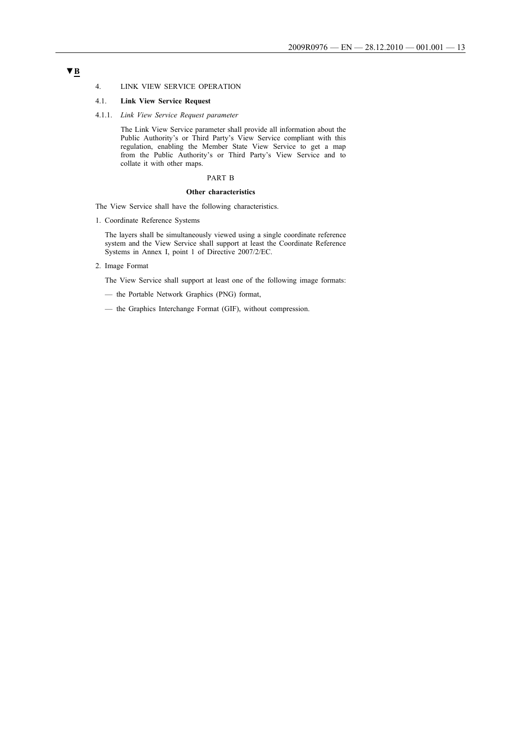#### 4. LINK VIEW SERVICE OPERATION

## 4.1. **Link View Service Request**

4.1.1. *Link View Service Request parameter*

The Link View Service parameter shall provide all information about the Public Authority's or Third Party's View Service compliant with this regulation, enabling the Member State View Service to get a map from the Public Authority's or Third Party's View Service and to collate it with other maps.

#### PART B

#### **Other characteristics**

The View Service shall have the following characteristics.

1. Coordinate Reference Systems

The layers shall be simultaneously viewed using a single coordinate reference system and the View Service shall support at least the Coordinate Reference Systems in Annex I, point 1 of Directive 2007/2/EC.

2. Image Format

The View Service shall support at least one of the following image formats:

— the Portable Network Graphics (PNG) format,

— the Graphics Interchange Format (GIF), without compression.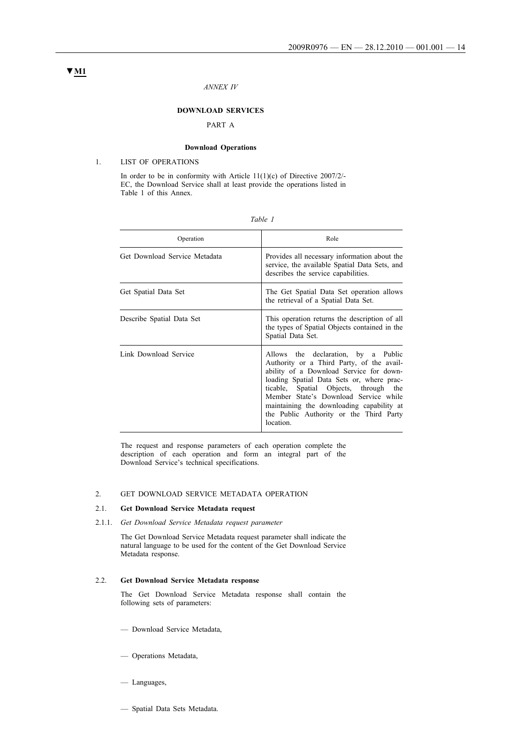#### *ANNEX IV*

## **DOWNLOAD SERVICES**

# PART A

## **Download Operations**

# 1. LIST OF OPERATIONS

In order to be in conformity with Article 11(1)(c) of Directive 2007/2/ EC, the Download Service shall at least provide the operations listed in Table 1 of this Annex.

| able |  |
|------|--|
|------|--|

| Operation                     | Role                                                                                                                                                                                                                                                                                                                                                            |
|-------------------------------|-----------------------------------------------------------------------------------------------------------------------------------------------------------------------------------------------------------------------------------------------------------------------------------------------------------------------------------------------------------------|
| Get Download Service Metadata | Provides all necessary information about the<br>service, the available Spatial Data Sets, and<br>describes the service capabilities.                                                                                                                                                                                                                            |
| Get Spatial Data Set          | The Get Spatial Data Set operation allows<br>the retrieval of a Spatial Data Set.                                                                                                                                                                                                                                                                               |
| Describe Spatial Data Set     | This operation returns the description of all<br>the types of Spatial Objects contained in the<br>Spatial Data Set.                                                                                                                                                                                                                                             |
| Link Download Service         | Allows the declaration, by a Public<br>Authority or a Third Party, of the avail-<br>ability of a Download Service for down-<br>loading Spatial Data Sets or, where prac-<br>ticable, Spatial Objects, through the<br>Member State's Download Service while<br>maintaining the downloading capability at<br>the Public Authority or the Third Party<br>location. |

The request and response parameters of each operation complete the description of each operation and form an integral part of the Download Service's technical specifications.

## 2. GET DOWNLOAD SERVICE METADATA OPERATION

# 2.1. **Get Download Service Metadata request**

2.1.1. *Get Download Service Metadata request parameter*

The Get Download Service Metadata request parameter shall indicate the natural language to be used for the content of the Get Download Service Metadata response.

## 2.2. **Get Download Service Metadata response**

The Get Download Service Metadata response shall contain the following sets of parameters:

- Download Service Metadata,
- Operations Metadata,
- Languages,
- Spatial Data Sets Metadata.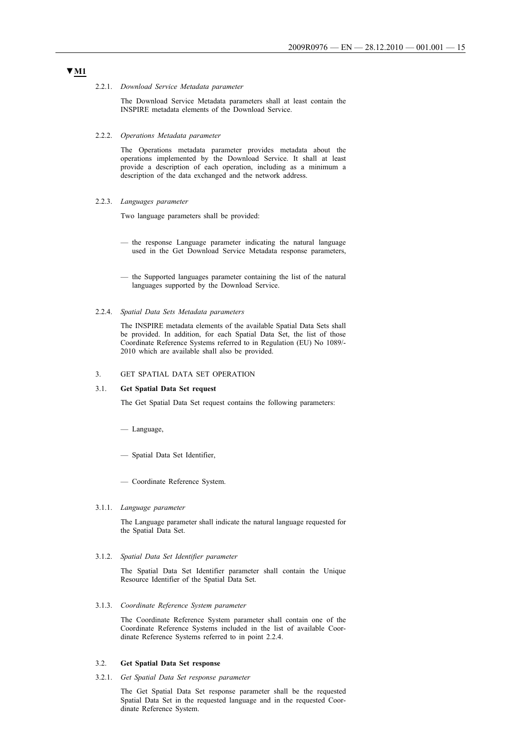#### 2.2.1. *Download Service Metadata parameter*

The Download Service Metadata parameters shall at least contain the INSPIRE metadata elements of the Download Service.

#### 2.2.2. *Operations Metadata parameter*

The Operations metadata parameter provides metadata about the operations implemented by the Download Service. It shall at least provide a description of each operation, including as a minimum a description of the data exchanged and the network address.

2.2.3. *Languages parameter*

Two language parameters shall be provided:

- the response Language parameter indicating the natural language used in the Get Download Service Metadata response parameters,
- the Supported languages parameter containing the list of the natural languages supported by the Download Service.

#### 2.2.4. *Spatial Data Sets Metadata parameters*

The INSPIRE metadata elements of the available Spatial Data Sets shall be provided. In addition, for each Spatial Data Set, the list of those Coordinate Reference Systems referred to in Regulation (EU) No 1089/ 2010 which are available shall also be provided.

#### 3. GET SPATIAL DATA SET OPERATION

#### 3.1. **Get Spatial Data Set request**

The Get Spatial Data Set request contains the following parameters:

- Language,
- Spatial Data Set Identifier,
- Coordinate Reference System.

## 3.1.1. *Language parameter*

The Language parameter shall indicate the natural language requested for the Spatial Data Set.

#### 3.1.2. *Spatial Data Set Identifier parameter*

The Spatial Data Set Identifier parameter shall contain the Unique Resource Identifier of the Spatial Data Set.

3.1.3. *Coordinate Reference System parameter*

The Coordinate Reference System parameter shall contain one of the Coordinate Reference Systems included in the list of available Coordinate Reference Systems referred to in point 2.2.4.

#### 3.2. **Get Spatial Data Set response**

3.2.1. *Get Spatial Data Set response parameter*

The Get Spatial Data Set response parameter shall be the requested Spatial Data Set in the requested language and in the requested Coordinate Reference System.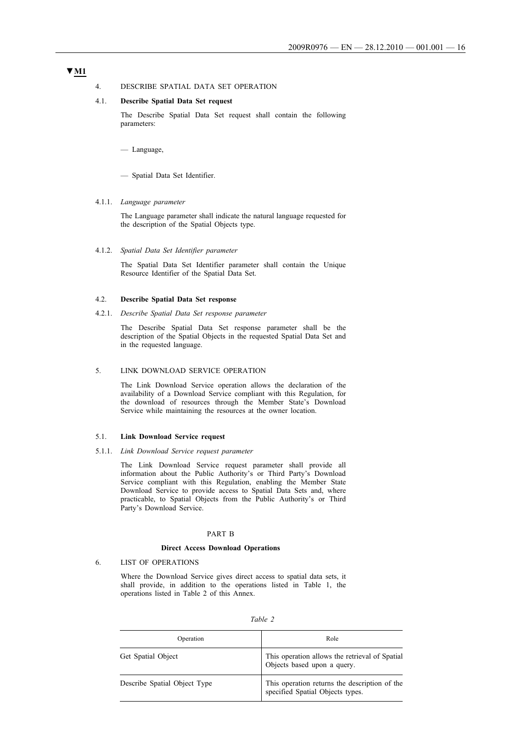# **▼M1**

### 4. DESCRIBE SPATIAL DATA SET OPERATION

## 4.1. **Describe Spatial Data Set request**

The Describe Spatial Data Set request shall contain the following parameters:

— Language,

— Spatial Data Set Identifier.

#### 4.1.1. *Language parameter*

The Language parameter shall indicate the natural language requested for the description of the Spatial Objects type.

#### 4.1.2. *Spatial Data Set Identifier parameter*

The Spatial Data Set Identifier parameter shall contain the Unique Resource Identifier of the Spatial Data Set.

#### 4.2. **Describe Spatial Data Set response**

#### 4.2.1. *Describe Spatial Data Set response parameter*

The Describe Spatial Data Set response parameter shall be the description of the Spatial Objects in the requested Spatial Data Set and in the requested language.

#### 5. LINK DOWNLOAD SERVICE OPERATION

The Link Download Service operation allows the declaration of the availability of a Download Service compliant with this Regulation, for the download of resources through the Member State's Download Service while maintaining the resources at the owner location.

#### 5.1. **Link Download Service request**

5.1.1. *Link Download Service request parameter*

The Link Download Service request parameter shall provide all information about the Public Authority's or Third Party's Download Service compliant with this Regulation, enabling the Member State Download Service to provide access to Spatial Data Sets and, where practicable, to Spatial Objects from the Public Authority's or Third Party's Download Service.

### PART B

### **Direct Access Download Operations**

#### 6. LIST OF OPERATIONS

Where the Download Service gives direct access to spatial data sets, it shall provide, in addition to the operations listed in Table 1, the operations listed in Table 2 of this Annex.

| Operation                    | Role                                                                              |
|------------------------------|-----------------------------------------------------------------------------------|
| Get Spatial Object           | This operation allows the retrieval of Spatial<br>Objects based upon a query.     |
| Describe Spatial Object Type | This operation returns the description of the<br>specified Spatial Objects types. |

| ani |  |
|-----|--|
|     |  |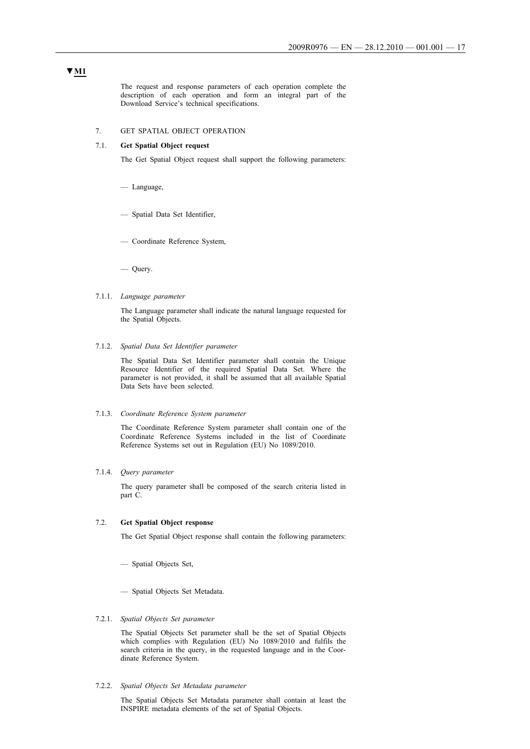The request and response parameters of each operation complete the description of each operation and form an integral part of the Download Service's technical specifications.

## 7. GET SPATIAL OBJECT OPERATION

# 7.1. **Get Spatial Object request**

The Get Spatial Object request shall support the following parameters:

- Language,
- Spatial Data Set Identifier,
- Coordinate Reference System,

— Query.

7.1.1. *Language parameter*

The Language parameter shall indicate the natural language requested for the Spatial Objects.

7.1.2. *Spatial Data Set Identifier parameter*

The Spatial Data Set Identifier parameter shall contain the Unique Resource Identifier of the required Spatial Data Set. Where the parameter is not provided, it shall be assumed that all available Spatial Data Sets have been selected.

#### 7.1.3. *Coordinate Reference System parameter*

The Coordinate Reference System parameter shall contain one of the Coordinate Reference Systems included in the list of Coordinate Reference Systems set out in Regulation (EU) No 1089/2010.

## 7.1.4. *Query parameter*

The query parameter shall be composed of the search criteria listed in part C.

#### 7.2. **Get Spatial Object response**

The Get Spatial Object response shall contain the following parameters:

- Spatial Objects Set,
- Spatial Objects Set Metadata.

# 7.2.1. *Spatial Objects Set parameter*

The Spatial Objects Set parameter shall be the set of Spatial Objects which complies with Regulation (EU) No 1089/2010 and fulfils the search criteria in the query, in the requested language and in the Coordinate Reference System.

#### 7.2.2. *Spatial Objects Set Metadata parameter*

The Spatial Objects Set Metadata parameter shall contain at least the INSPIRE metadata elements of the set of Spatial Objects.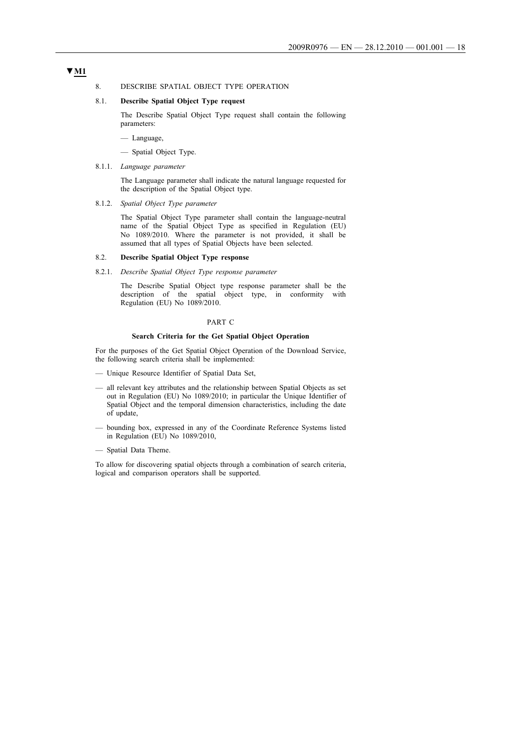# **▼M1**

#### 8. DESCRIBE SPATIAL OBJECT TYPE OPERATION

## 8.1. **Describe Spatial Object Type request**

The Describe Spatial Object Type request shall contain the following parameters:

- Language,
- Spatial Object Type.
- 8.1.1. *Language parameter*

The Language parameter shall indicate the natural language requested for the description of the Spatial Object type.

8.1.2. *Spatial Object Type parameter*

The Spatial Object Type parameter shall contain the language-neutral name of the Spatial Object Type as specified in Regulation (EU) No 1089/2010. Where the parameter is not provided, it shall be assumed that all types of Spatial Objects have been selected.

#### 8.2. **Describe Spatial Object Type response**

8.2.1. *Describe Spatial Object Type response parameter*

The Describe Spatial Object type response parameter shall be the description of the spatial object type, in conformity with Regulation (EU) No 1089/2010.

#### PART C

#### **Search Criteria for the Get Spatial Object Operation**

For the purposes of the Get Spatial Object Operation of the Download Service, the following search criteria shall be implemented:

- Unique Resource Identifier of Spatial Data Set,
- all relevant key attributes and the relationship between Spatial Objects as set out in Regulation (EU) No 1089/2010; in particular the Unique Identifier of Spatial Object and the temporal dimension characteristics, including the date of update,
- bounding box, expressed in any of the Coordinate Reference Systems listed in Regulation (EU) No 1089/2010,
- Spatial Data Theme.

To allow for discovering spatial objects through a combination of search criteria, logical and comparison operators shall be supported.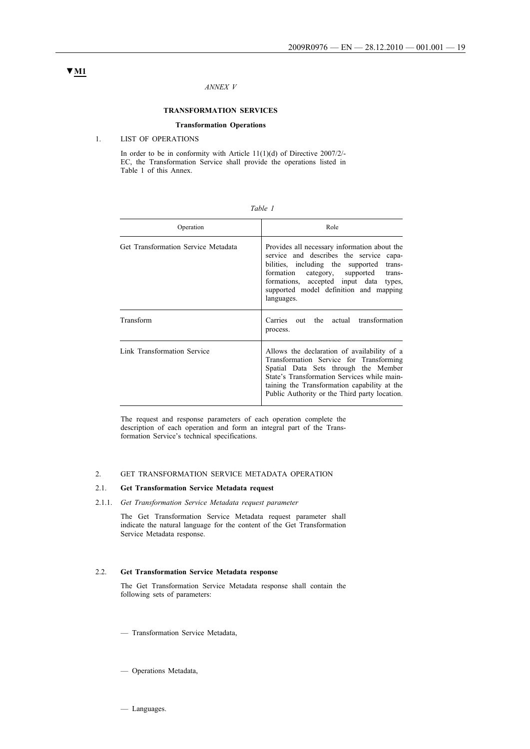## *ANNEX V*

## **TRANSFORMATION SERVICES**

## **Transformation Operations**

#### 1. LIST OF OPERATIONS

In order to be in conformity with Article 11(1)(d) of Directive 2007/2/ EC, the Transformation Service shall provide the operations listed in Table 1 of this Annex.

| Operation                           | Role                                                                                                                                                                                                                                                                                         |
|-------------------------------------|----------------------------------------------------------------------------------------------------------------------------------------------------------------------------------------------------------------------------------------------------------------------------------------------|
| Get Transformation Service Metadata | Provides all necessary information about the<br>service and describes the service<br>capa-<br>bilities, including the supported<br>trans-<br>formation<br>category, supported<br>trans-<br>formations, accepted input data<br>types,<br>supported model definition and mapping<br>languages. |
| Transform                           | out the<br>actual transformation<br>Carries<br>process.                                                                                                                                                                                                                                      |
| Link Transformation Service         | Allows the declaration of availability of a<br>Transformation Service for Transforming<br>Spatial Data Sets through the Member<br>State's Transformation Services while main-<br>taining the Transformation capability at the<br>Public Authority or the Third party location.               |

The request and response parameters of each operation complete the description of each operation and form an integral part of the Transformation Service's technical specifications.

## 2. GET TRANSFORMATION SERVICE METADATA OPERATION

# 2.1. **Get Transformation Service Metadata request**

2.1.1. *Get Transformation Service Metadata request parameter*

The Get Transformation Service Metadata request parameter shall indicate the natural language for the content of the Get Transformation Service Metadata response.

#### 2.2. **Get Transformation Service Metadata response**

The Get Transformation Service Metadata response shall contain the following sets of parameters:

- Transformation Service Metadata,
- Operations Metadata,

# **▼M1**

— Languages.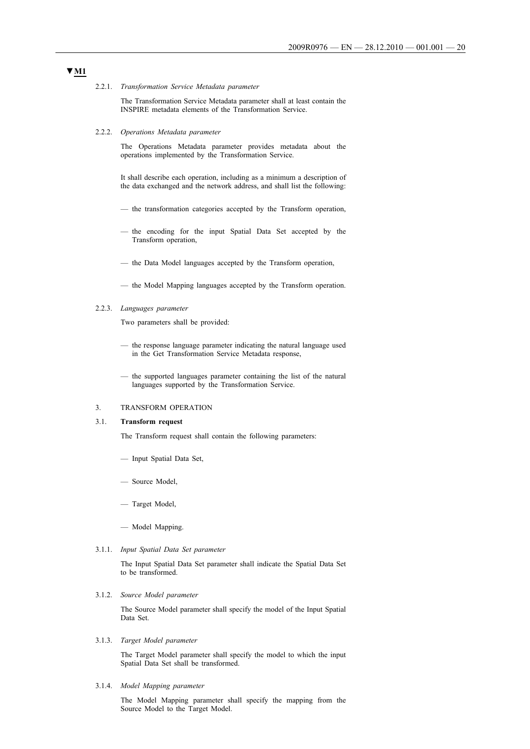2.2.1. *Transformation Service Metadata parameter*

The Transformation Service Metadata parameter shall at least contain the INSPIRE metadata elements of the Transformation Service.

2.2.2. *Operations Metadata parameter*

The Operations Metadata parameter provides metadata about the operations implemented by the Transformation Service.

It shall describe each operation, including as a minimum a description of the data exchanged and the network address, and shall list the following:

- the transformation categories accepted by the Transform operation,
- the encoding for the input Spatial Data Set accepted by the Transform operation,
- the Data Model languages accepted by the Transform operation,
- the Model Mapping languages accepted by the Transform operation.

#### 2.2.3. *Languages parameter*

Two parameters shall be provided:

- the response language parameter indicating the natural language used in the Get Transformation Service Metadata response,
- the supported languages parameter containing the list of the natural languages supported by the Transformation Service.

## 3. TRANSFORM OPERATION

#### 3.1. **Transform request**

The Transform request shall contain the following parameters:

- Input Spatial Data Set,
- Source Model,
- Target Model,
- Model Mapping.
- 3.1.1. *Input Spatial Data Set parameter*

The Input Spatial Data Set parameter shall indicate the Spatial Data Set to be transformed.

3.1.2. *Source Model parameter*

The Source Model parameter shall specify the model of the Input Spatial Data Set.

3.1.3. *Target Model parameter*

The Target Model parameter shall specify the model to which the input Spatial Data Set shall be transformed.

3.1.4. *Model Mapping parameter*

The Model Mapping parameter shall specify the mapping from the Source Model to the Target Model.